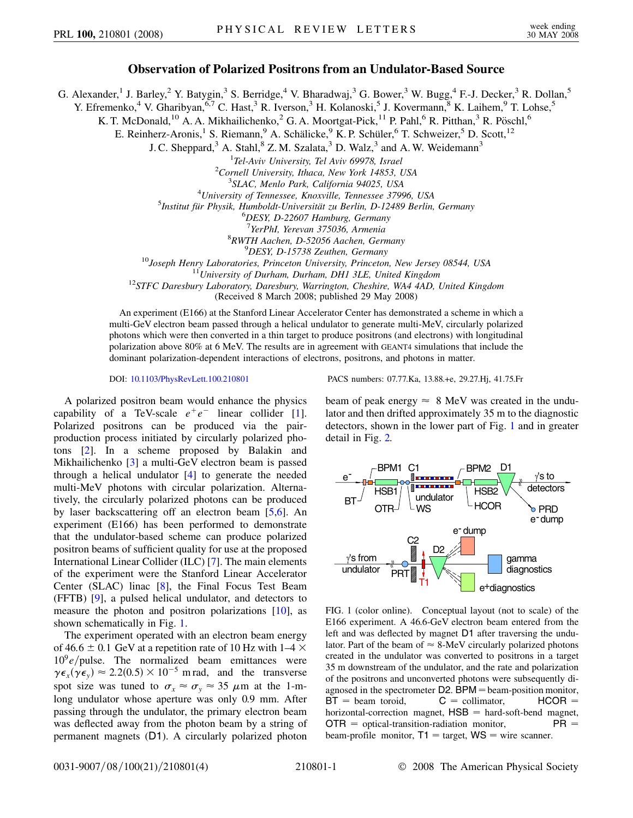## **Observation of Polarized Positrons from an Undulator-Based Source**

G. Alexander,<sup>1</sup> J. Barley,<sup>2</sup> Y. Batygin,<sup>3</sup> S. Berridge,<sup>4</sup> V. Bharadwaj,<sup>3</sup> G. Bower,<sup>3</sup> W. Bugg,<sup>4</sup> F.-J. Decker,<sup>3</sup> R. Dollan,<sup>5</sup>

Y. Efremenko,<sup>4</sup> V. Gharibyan,<sup>6,7</sup> C. Hast,<sup>3</sup> R. Iverson,<sup>3</sup> H. Kolanoski,<sup>5</sup> J. Kovermann,<sup>8</sup> K. Laihem,<sup>9</sup> T. Lohse,<sup>5</sup>

K. T. McDonald,<sup>10</sup> A. A. Mikhailichenko,<sup>2</sup> G. A. Moortgat-Pick,<sup>11</sup> P. Pahl,<sup>6</sup> R. Pitthan,<sup>3</sup> R. Pöschl,<sup>6</sup>

E. Reinherz-Aronis,<sup>1</sup> S. Riemann,<sup>9</sup> A. Schälicke,<sup>9</sup> K. P. Schüler,<sup>6</sup> T. Schweizer,<sup>5</sup> D. Scott,<sup>12</sup>

J. C. Sheppard, $3$  A. Stahl, $8$  Z. M. Szalata, $3$  D. Walz, $3$  and A. W. Weidemann $3$ 

<sup>1</sup> Tel-Aviv University, Tel Aviv 69978, Israel<br><sup>2</sup> Cornell University, Ithaca, New York 14853, 1

<sup>2</sup> Cornell University, Ithaca, New York 14853, USA

<sup>3</sup>SLAC, Menlo Park, California 94025, USA

*University of Tennessee, Knoxville, Tennessee 37996, USA* <sup>5</sup>

<sup>5</sup>Institut für Physik, Humboldt-Universität zu Berlin, D-12489 Berlin, Germany

*DESY, D-22607 Hamburg, Germany*

<sup>7</sup>YerPhI, Yerevan 375036, Armenia *YerPhI, Yerevan 375036, Armenia* <sup>8</sup>

*RWTH Aachen, D-52056 Aachen, Germany* <sup>9</sup>

<sup>9</sup>DESY, D-15738 Zeuthen, Germany<br><sup>10</sup>Joseph Henry Laboratories, Princeton University, Princeton, New Jersey 08544, USA<br><sup>11</sup>University of Durham, Durham, DH1 3LE, United Kingdom<sup>12</sup>STFC Daresbury Laboratory, Daresbury, Wa

(Received 8 March 2008; published 29 May 2008)

An experiment (E166) at the Stanford Linear Accelerator Center has demonstrated a scheme in which a multi-GeV electron beam passed through a helical undulator to generate multi-MeV, circularly polarized photons which were then converted in a thin target to produce positrons (and electrons) with longitudinal polarization above 80% at 6 MeV. The results are in agreement with GEANT4 simulations that include the dominant polarization-dependent interactions of electrons, positrons, and photons in matter.

A polarized positron beam would enhance the physics capability of a TeV-scale  $e^+e^-$  linear collider [[1\]](#page-3-0). Polarized positrons can be produced via the pairproduction process initiated by circularly polarized photons [[2](#page-3-1)]. In a scheme proposed by Balakin and Mikhailichenko [[3\]](#page-3-2) a multi-GeV electron beam is passed through a helical undulator [\[4\]](#page-3-3) to generate the needed multi-MeV photons with circular polarization. Alternatively, the circularly polarized photons can be produced by laser backscattering off an electron beam [\[5](#page-3-4),[6](#page-3-5)]. An experiment (E166) has been performed to demonstrate that the undulator-based scheme can produce polarized positron beams of sufficient quality for use at the proposed International Linear Collider (ILC) [\[7](#page-3-6)]. The main elements of the experiment were the Stanford Linear Accelerator Center (SLAC) linac [[8](#page-3-7)], the Final Focus Test Beam (FFTB) [[9\]](#page-3-8), a pulsed helical undulator, and detectors to measure the photon and positron polarizations [[10](#page-3-9)], as shown schematically in Fig. [1.](#page-0-0)

The experiment operated with an electron beam energy of 46.6  $\pm$  0.1 GeV at a repetition rate of 10 Hz with 1–4  $\times$  $10^9$ e/pulse. The normalized beam emittances were  $\gamma \epsilon_x(\gamma \epsilon_y) \approx 2.2(0.5) \times 10^{-5}$  m rad, and the transverse spot size was tuned to  $\sigma_x \approx \sigma_y \approx 35 \mu$ m at the 1-mlong undulator whose aperture was only 0.9 mm. After passing through the undulator, the primary electron beam was deflected away from the photon beam by a string of permanent magnets (D1). A circularly polarized photon

DOI: [10.1103/PhysRevLett.100.210801](http://dx.doi.org/10.1103/PhysRevLett.100.210801) PACS numbers: 07.77.Ka, 13.88.+e, 29.27.Hj, 41.75.Fr

beam of peak energy  $\approx 8$  MeV was created in the undulator and then drifted approximately 35 m to the diagnostic detectors, shown in the lower part of Fig. [1](#page-0-0) and in greater detail in Fig. [2.](#page-1-0)

<span id="page-0-0"></span>

FIG. 1 (color online). Conceptual layout (not to scale) of the E166 experiment. A 46.6-GeV electron beam entered from the left and was deflected by magnet D1 after traversing the undulator. Part of the beam of  $\approx 8$ -MeV circularly polarized photons created in the undulator was converted to positrons in a target 35 m downstream of the undulator, and the rate and polarization of the positrons and unconverted photons were subsequently diagnosed in the spectrometer  $D2$ . BPM = beam-position monitor,  $BT =$  beam toroid,  $C =$  collimator,  $HCOR =$ horizontal-correction magnet,  $HSB =$  hard-soft-bend magnet,  $\mathsf{OTR} = \mathsf{optical\text{-}transition\text{-}radiation\text{-}monitor, \qquad \qquad \mathsf{PR} =$ beam-profile monitor,  $T1 = \text{target}$ ,  $WS = \text{wire}$  scanner.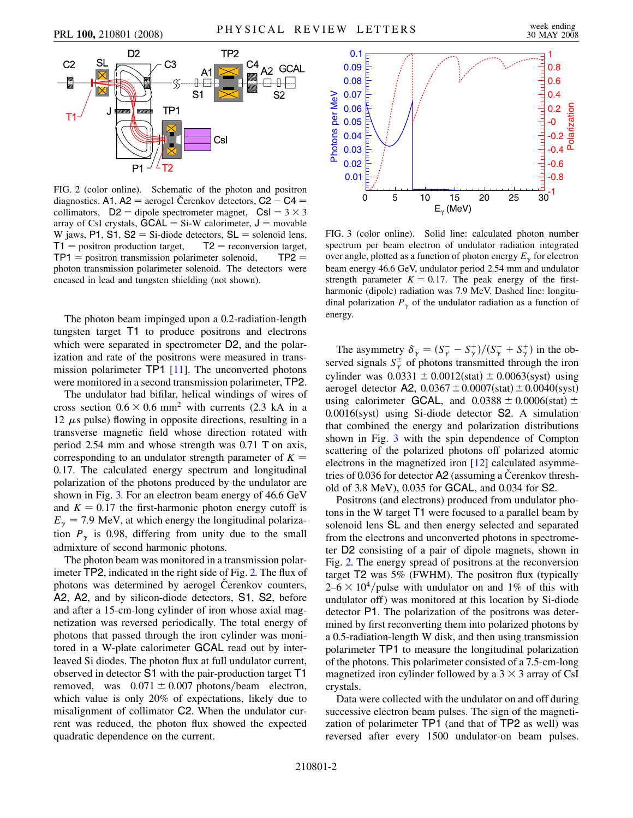<span id="page-1-0"></span>

FIG. 2 (color online). Schematic of the photon and positron diagnostics. A1, A2 = aerogel Čerenkov detectors, C2 - C4 = collimators,  $D2 =$  dipole spectrometer magnet,  $CsI = 3 \times 3$ array of CsI crystals,  $GCAL = Si-W$  calorimeter,  $J =$  movable W jaws, P1, S1,  $S2 =$  Si-diode detectors,  $SL =$  solenoid lens,  $T1 =$  positron production target,  $T2 =$  reconversion target,  $TP1 =$  positron transmission polarimeter solenoid,  $TP2 =$ photon transmission polarimeter solenoid. The detectors were encased in lead and tungsten shielding (not shown).

The photon beam impinged upon a 0.2-radiation-length tungsten target T1 to produce positrons and electrons which were separated in spectrometer D2, and the polarization and rate of the positrons were measured in transmission polarimeter TP1 [[11](#page-3-10)]. The unconverted photons were monitored in a second transmission polarimeter, TP2.

The undulator had bifilar, helical windings of wires of cross section  $0.6 \times 0.6$  mm<sup>2</sup> with currents (2.3 kA in a 12  $\mu$ s pulse) flowing in opposite directions, resulting in a transverse magnetic field whose direction rotated with period 2.54 mm and whose strength was 0.71 T on axis, corresponding to an undulator strength parameter of  $K =$ 0*:*17. The calculated energy spectrum and longitudinal polarization of the photons produced by the undulator are shown in Fig. [3.](#page-1-1) For an electron beam energy of 46.6 GeV and  $K = 0.17$  the first-harmonic photon energy cutoff is  $E_{\gamma}$  = 7.9 MeV, at which energy the longitudinal polarization  $P_{\gamma}$  is 0.98, differing from unity due to the small admixture of second harmonic photons.

The photon beam was monitored in a transmission polarimeter TP2, indicated in the right side of Fig. [2.](#page-1-0) The flux of photons was determined by aerogel Cerenkov counters, A2, A2, and by silicon-diode detectors, S1, S2, before and after a 15-cm-long cylinder of iron whose axial magnetization was reversed periodically. The total energy of photons that passed through the iron cylinder was monitored in a W-plate calorimeter GCAL read out by interleaved Si diodes. The photon flux at full undulator current, observed in detector S1 with the pair-production target T1 removed, was  $0.071 \pm 0.007$  photons/beam electron, which value is only 20% of expectations, likely due to misalignment of collimator C2. When the undulator current was reduced, the photon flux showed the expected quadratic dependence on the current.

<span id="page-1-1"></span>

FIG. 3 (color online). Solid line: calculated photon number spectrum per beam electron of undulator radiation integrated over angle, plotted as a function of photon energy  $E_{\gamma}$  for electron beam energy 46.6 GeV, undulator period 2.54 mm and undulator strength parameter  $K = 0.17$ . The peak energy of the firstharmonic (dipole) radiation was 7.9 MeV. Dashed line: longitudinal polarization  $P_{\gamma}$  of the undulator radiation as a function of energy.

The asymmetry  $\delta_{\gamma} = (S_{\gamma}^{-} - S_{\gamma}^{+})/(S_{\gamma}^{-} + S_{\gamma}^{+})$  in the observed signals  $S_{\gamma}^{\pm}$  of photons transmitted through the iron cylinder was  $0.0331 \pm 0.0012$ (stat)  $\pm 0.0063$ (syst) using aerogel detector A2,  $0.0367 \pm 0.0007$ (stat)  $\pm 0.0040$ (syst) using calorimeter GCAL, and  $0.0388 \pm 0.0006$  (stat)  $\pm$ 0.0016(syst) using Si-diode detector S2. A simulation that combined the energy and polarization distributions shown in Fig. [3](#page-1-1) with the spin dependence of Compton scattering of the polarized photons off polarized atomic electrons in the magnetized iron [[12](#page-3-11)] calculated asymmetries of  $0.036$  for detector  $A2$  (assuming a Cerenkov threshold of 3.8 MeV), 0.035 for GCAL, and 0.034 for S2.

Positrons (and electrons) produced from undulator photons in the W target T1 were focused to a parallel beam by solenoid lens SL and then energy selected and separated from the electrons and unconverted photons in spectrometer D2 consisting of a pair of dipole magnets, shown in Fig. [2.](#page-1-0) The energy spread of positrons at the reconversion target T2 was 5% (FWHM). The positron flux (typically  $2-6 \times 10^4$ /pulse with undulator on and 1% of this with undulator off) was monitored at this location by Si-diode detector P1. The polarization of the positrons was determined by first reconverting them into polarized photons by a 0.5-radiation-length W disk, and then using transmission polarimeter TP1 to measure the longitudinal polarization of the photons. This polarimeter consisted of a 7.5-cm-long magnetized iron cylinder followed by a  $3 \times 3$  array of CsI crystals.

Data were collected with the undulator on and off during successive electron beam pulses. The sign of the magnetization of polarimeter TP1 (and that of TP2 as well) was reversed after every 1500 undulator-on beam pulses.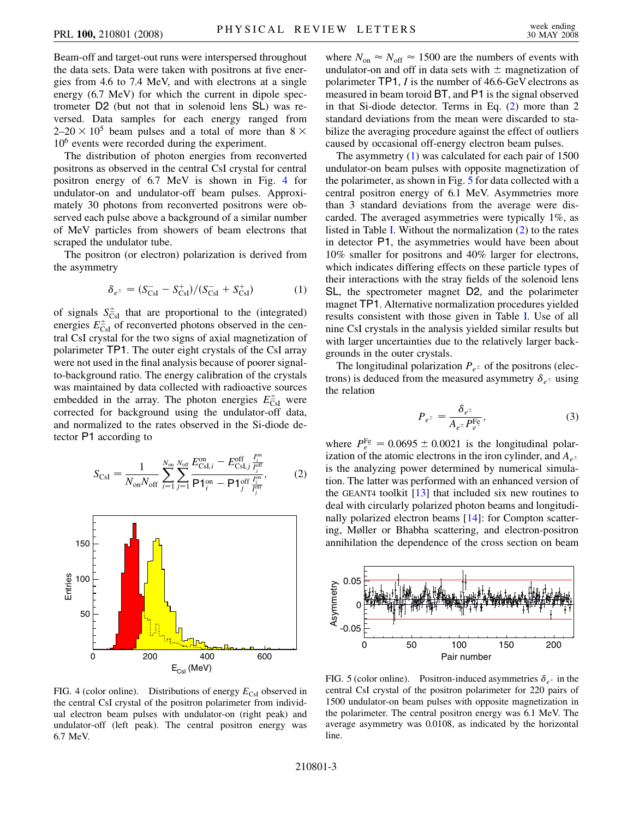Beam-off and target-out runs were interspersed throughout the data sets. Data were taken with positrons at five energies from 4.6 to 7.4 MeV, and with electrons at a single energy (6.7 MeV) for which the current in dipole spectrometer D2 (but not that in solenoid lens SL) was reversed. Data samples for each energy ranged from  $2-20 \times 10^5$  beam pulses and a total of more than  $8 \times$ 10<sup>6</sup> events were recorded during the experiment.

The distribution of photon energies from reconverted positrons as observed in the central CsI crystal for central positron energy of 6.7 MeV is shown in Fig. [4](#page-2-0) for undulator-on and undulator-off beam pulses. Approximately 30 photons from reconverted positrons were observed each pulse above a background of a similar number of MeV particles from showers of beam electrons that scraped the undulator tube.

<span id="page-2-2"></span>The positron (or electron) polarization is derived from the asymmetry

$$
\delta_{e^{\pm}} = (S_{\text{CsI}}^{-} - S_{\text{CsI}}^{+})/(S_{\text{CsI}}^{-} + S_{\text{CsI}}^{+})
$$
(1)

of signals  $S_{\text{CsI}}^{\pm}$  that are proportional to the (integrated) energies  $E_{\text{CsI}}^{\pm}$  of reconverted photons observed in the central CsI crystal for the two signs of axial magnetization of polarimeter TP1. The outer eight crystals of the CsI array were not used in the final analysis because of poorer signalto-background ratio. The energy calibration of the crystals was maintained by data collected with radioactive sources embedded in the array. The photon energies  $E_{\text{CsI}}^{\pm}$  were corrected for background using the undulator-off data, and normalized to the rates observed in the Si-diode detector P1 according to

<span id="page-2-1"></span>
$$
S_{\rm CsI} = \frac{1}{N_{\rm on} N_{\rm off}} \sum_{i=1}^{N_{\rm on}} \sum_{j=1}^{N_{\rm off}} \frac{E_{\rm CsI,i}^{\rm on} - E_{\rm CsI,j}^{\rm off} \frac{I_j^{\rm on}}{I_j^{\rm off}},}{P_1^{\rm on} - P_1^{\rm off} \frac{I_j^{\rm on}}{I_j^{\rm off}}},
$$
(2)

<span id="page-2-0"></span>

FIG. 4 (color online). Distributions of energy  $E_{\text{CsI}}$  observed in the central CsI crystal of the positron polarimeter from individual electron beam pulses with undulator-on (right peak) and undulator-off (left peak). The central positron energy was 6.7 MeV.

where  $N_{\text{on}} \approx N_{\text{off}} \approx 1500$  are the numbers of events with undulator-on and off in data sets with  $\pm$  magnetization of polarimeter TP1, *I* is the number of 46.6-GeV electrons as measured in beam toroid BT, and P1 is the signal observed in that Si-diode detector. Terms in Eq. [\(2](#page-2-1)) more than 2 standard deviations from the mean were discarded to stabilize the averaging procedure against the effect of outliers caused by occasional off-energy electron beam pulses.

The asymmetry ([1](#page-2-2)) was calculated for each pair of 1500 undulator-on beam pulses with opposite magnetization of the polarimeter, as shown in Fig. [5](#page-2-3) for data collected with a central positron energy of 6.1 MeV. Asymmetries more than 3 standard deviations from the average were discarded. The averaged asymmetries were typically 1%, as listed in Table [I.](#page-3-12) Without the normalization ([2\)](#page-2-1) to the rates in detector P1, the asymmetries would have been about 10% smaller for positrons and 40% larger for electrons, which indicates differing effects on these particle types of their interactions with the stray fields of the solenoid lens SL, the spectrometer magnet D2, and the polarimeter magnet TP1. Alternative normalization procedures yielded results consistent with those given in Table [I](#page-3-12). Use of all nine CsI crystals in the analysis yielded similar results but with larger uncertainties due to the relatively larger backgrounds in the outer crystals.

<span id="page-2-4"></span>The longitudinal polarization  $P_{e^{\pm}}$  of the positrons (electrons) is deduced from the measured asymmetry  $\delta_{e^{\pm}}$  using the relation

$$
P_{e^{\pm}} = \frac{\delta_{e^{\pm}}}{A_{e^{\pm}} P_{e^-}^{\text{Fe}}},\tag{3}
$$

where  $P_{e^-}^{\text{Fe}} = 0.0695 \pm 0.0021$  is the longitudinal polarization of the atomic electrons in the iron cylinder, and  $A_{e^{\pm}}$ is the analyzing power determined by numerical simulation. The latter was performed with an enhanced version of the GEANT4 toolkit  $[13]$  $[13]$  $[13]$  that included six new routines to deal with circularly polarized photon beams and longitudinally polarized electron beams [[14](#page-3-14)]: for Compton scattering, Møller or Bhabha scattering, and electron-positron annihilation the dependence of the cross section on beam

<span id="page-2-3"></span>

FIG. 5 (color online). Positron-induced asymmetries  $\delta_{e^+}$  in the central CsI crystal of the positron polarimeter for 220 pairs of 1500 undulator-on beam pulses with opposite magnetization in the polarimeter. The central positron energy was 6.1 MeV. The average asymmetry was 0.0108, as indicated by the horizontal line.